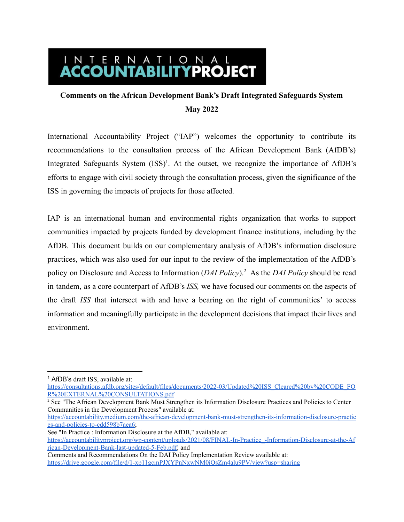# I N T E R N A T I O N A L<br>**ACCOUNTABILITYPROJECT**

## **Comments on the African Development Bank's Draft Integrated Safeguards System May 2022**

International Accountability Project ("IAP") welcomes the opportunity to contribute its recommendations to the consultation process of the African Development Bank (AfDB's) Integrated Safeguards System (ISS)<sup>1</sup>. At the outset, we recognize the importance of AfDB's efforts to engage with civil society through the consultation process, given the significance of the ISS in governing the impacts of projects for those affected.

IAP is an international human and environmental rights organization that works to support communities impacted by projects funded by development finance institutions, including by the AfDB. This document builds on our complementary analysis of AfDB's information disclosure practices, which was also used for our input to the review of the implementation of the AfDB's policy on Disclosure and Access to Information (*DAI Policy*).<sup>2</sup> As the *DAI Policy* should be read in tandem, as a core counterpart of AfDB's *ISS,* we have focused our comments on the aspects of the draft *ISS* that intersect with and have a bearing on the right of communities' to access information and meaningfully participate in the development decisions that impact their lives and environment.

<sup>2</sup> See "The African Development Bank Must Strengthen its Information Disclosure Practices and Policies to Center Communities in the Development Process" available at:

[https://accountability.medium.com/the-african-development-bank-must-strengthen-its-information-disclosure-practic](https://accountability.medium.com/the-african-development-bank-must-strengthen-its-information-disclosure-practices-and-policies-to-cdd598b7aea6) [es-and-policies-to-cdd598b7aea6;](https://accountability.medium.com/the-african-development-bank-must-strengthen-its-information-disclosure-practices-and-policies-to-cdd598b7aea6)

<sup>&</sup>lt;sup>1</sup> AfDB's draft ISS, available at:

[https://consultations.afdb.org/sites/default/files/documents/2022-03/Updated%20ISS\\_Cleared%20by%20CODE\\_FO](https://consultations.afdb.org/sites/default/files/documents/2022-03/Updated%20ISS_Cleared%20by%20CODE_FOR%20EXTERNAL%20CONSULTATIONS.pdf) [R%20EXTERNAL%20CONSULTATIONS.pdf](https://consultations.afdb.org/sites/default/files/documents/2022-03/Updated%20ISS_Cleared%20by%20CODE_FOR%20EXTERNAL%20CONSULTATIONS.pdf)

See "In Practice : Information Disclosure at the AfDB," available at: [https://accountabilityproject.org/wp-content/uploads/2021/08/FINAL-In-Practice\\_-Information-Disclosure-at-the-Af](https://accountabilityproject.org/wp-content/uploads/2021/08/FINAL-In-Practice_-Information-Disclosure-at-the-African-Development-Bank-last-updated-5-Feb.pdf) [rican-Development-Bank-last-updated-5-Feb.pdf](https://accountabilityproject.org/wp-content/uploads/2021/08/FINAL-In-Practice_-Information-Disclosure-at-the-African-Development-Bank-last-updated-5-Feb.pdf); and Comments and Recommendations On the DAI Policy Implementation Review available at:

<https://drive.google.com/file/d/1-xp11gcmPJXYPnNxwNM0jQsZm4alu9PV/view?usp=sharing>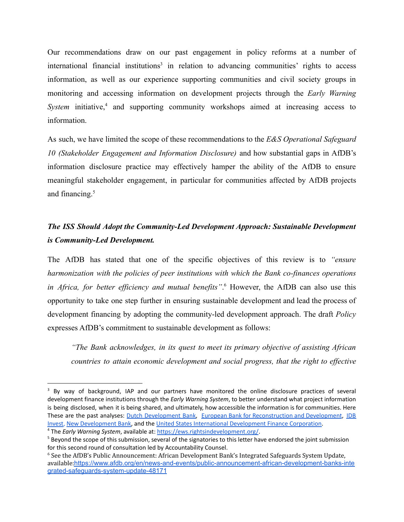Our recommendations draw on our past engagement in policy reforms at a number of international financial institutions<sup>3</sup> in relation to advancing communities' rights to access information, as well as our experience supporting communities and civil society groups in monitoring and accessing information on development projects through the *Early Warning System* initiative,<sup>4</sup> and supporting community workshops aimed at increasing access to information.

As such, we have limited the scope of these recommendations to the *E&S Operational Safeguard 10 (Stakeholder Engagement and Information Disclosure)* and how substantial gaps in AfDB's information disclosure practice may effectively hamper the ability of the AfDB to ensure meaningful stakeholder engagement, in particular for communities affected by AfDB projects and financing.<sup>5</sup>

### *The ISS Should Adopt the Community-Led Development Approach: Sustainable Development is Community-Led Development.*

The AfDB has stated that one of the specific objectives of this review is to *"ensure harmonization with the policies of peer institutions with which the Bank co-finances operations in Africa, for better efficiency and mutual benefits"*. <sup>6</sup> However, the AfDB can also use this opportunity to take one step further in ensuring sustainable development and lead the process of development financing by adopting the community-led development approach. The draft *Policy* expresses AfDB's commitment to sustainable development as follows:

*"The Bank acknowledges, in its quest to meet its primary objective of assisting African countries to attain economic development and social progress, that the right to effective*

<sup>4</sup> The *Early Warning System*, available at: <https://ews.rightsindevelopment.org/>. <sup>3</sup> By way of background, IAP and our partners have monitored the online disclosure practices of several development finance institutions through the *Early Warning System*, to better understand what project information is being disclosed, when it is being shared, and ultimately, how accessible the information is for communities. Here These are the past analyses: Dutch [Development](https://accountabilityproject.org/wp-content/uploads/2021/01/Dec-18-Submission-to-FMO-Information-Disclosure.pdf) Bank, European Bank for [Reconstruction](https://medium.com/@accountability/will-the-ebrd-make-a-better-offer-on-public-information-disclosure-and-engagement-97c4c7169a5c) and Development, [IDB](https://medium.com/@accountability/in-practice-information-disclosure-at-idb-invest-a5a5406b2a5e) [Invest,](https://medium.com/@accountability/in-practice-information-disclosure-at-idb-invest-a5a5406b2a5e) New [Development](https://accountability.medium.com/closed-unapproachable-and-opaque-how-the-new-development-bank-drafted-its-access-to-1561343a20bd) Bank, and the United States International [Development](https://accountabilityproject.org/wp-content/uploads/2020/04/In-Practice_-Information-Disclosure-at-DFC-1.pdf) Finance Corporation.

<sup>&</sup>lt;sup>5</sup> Beyond the scope of this submission, several of the signatories to this letter have endorsed the joint submission for this second round of consultation led by Accountability Counsel.

<sup>6</sup> See the AfDB's Public Announcement: African Development Bank's Integrated Safeguards System Update, available:[https://www.afdb.org/en/news-and-events/public-announcement-african-development-banks-inte](https://www.afdb.org/en/news-and-events/public-announcement-african-development-banks-integrated-safeguards-system-update-48171) [grated-safeguards-system-update-48171](https://www.afdb.org/en/news-and-events/public-announcement-african-development-banks-integrated-safeguards-system-update-48171)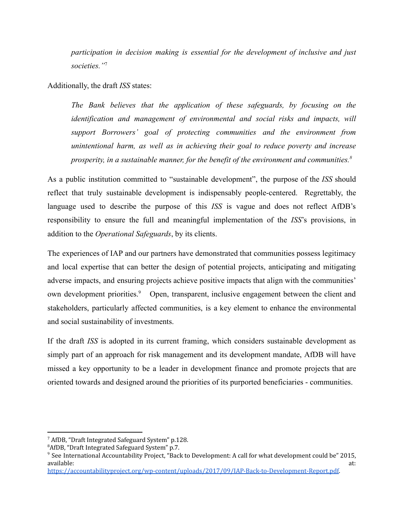*participation in decision making is essential for the development of inclusive and just societies."*<sup>7</sup>

Additionally, the draft *ISS* states:

*The Bank believes that the application of these safeguards, by focusing on the identification and management of environmental and social risks and impacts, will support Borrowers' goal of protecting communities and the environment from unintentional harm, as well as in achieving their goal to reduce poverty and increase prosperity, in a sustainable manner, for the benefit of the environment and communities.<sup>8</sup>*

As a public institution committed to "sustainable development", the purpose of the *ISS* should reflect that truly sustainable development is indispensably people-centered. Regrettably, the language used to describe the purpose of this *ISS* is vague and does not reflect AfDB's responsibility to ensure the full and meaningful implementation of the *ISS*'s provisions, in addition to the *Operational Safeguards*, by its clients.

The experiences of IAP and our partners have demonstrated that communities possess legitimacy and local expertise that can better the design of potential projects, anticipating and mitigating adverse impacts, and ensuring projects achieve positive impacts that align with the communities' own development priorities.<sup>9</sup> Open, transparent, inclusive engagement between the client and stakeholders, particularly affected communities, is a key element to enhance the environmental and social sustainability of investments.

If the draft *ISS* is adopted in its current framing, which considers sustainable development as simply part of an approach for risk management and its development mandate, AfDB will have missed a key opportunity to be a leader in development finance and promote projects that are oriented towards and designed around the priorities of its purported beneficiaries - communities.

<sup>7</sup> AfDB, "Draft Integrated Safeguard System" p.128.

<sup>8</sup>AfDB, "Draft Integrated Safeguard System" p.7.

<sup>9</sup> See International Accountability Project, "Back to Development: A call for what development could be" 2015, available: at:

[https://accountabilityproject.org/wp-content/uploads/2017/09/IAP-Back-to-Development-Report.pdf.](https://accountabilityproject.org/wp-content/uploads/2017/09/IAP-Back-to-Development-Report.pdf)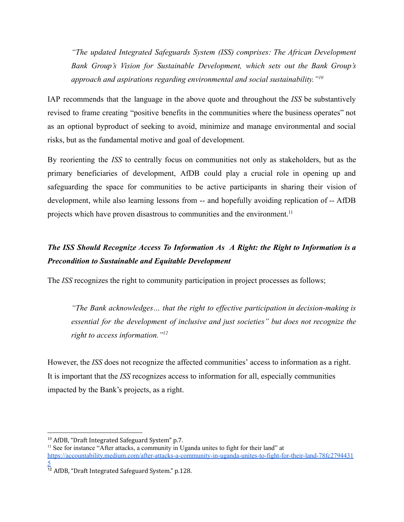*"The updated Integrated Safeguards System (ISS) comprises: The African Development Bank Group's Vision for Sustainable Development, which sets out the Bank Group's approach and aspirations regarding environmental and social sustainability."<sup>10</sup>*

IAP recommends that the language in the above quote and throughout the *ISS* be substantively revised to frame creating "positive benefits in the communities where the business operates" not as an optional byproduct of seeking to avoid, minimize and manage environmental and social risks, but as the fundamental motive and goal of development.

By reorienting the *ISS* to centrally focus on communities not only as stakeholders, but as the primary beneficiaries of development, AfDB could play a crucial role in opening up and safeguarding the space for communities to be active participants in sharing their vision of development, while also learning lessons from -- and hopefully avoiding replication of -- AfDB projects which have proven disastrous to communities and the environment.<sup>11</sup>

### *The ISS Should Recognize Access To Information As A Right: the Right to Information is a Precondition to Sustainable and Equitable Development*

The *ISS* recognizes the right to community participation in project processes as follows;

*"The Bank acknowledges… that the right to effective participation in decision-making is essential for the development of inclusive and just societies" but does not recognize the right to access information."<sup>12</sup>*

However, the *ISS* does not recognize the affected communities' access to information as a right. It is important that the *ISS* recognizes access to information for all, especially communities impacted by the Bank's projects, as a right.

<sup>10</sup> AfDB, "Draft Integrated Safeguard System" p.7.

<sup>&</sup>lt;sup>11</sup> See for instance "After attacks, a community in Uganda unites to fight for their land" at [https://accountability.medium.com/after-attacks-a-community-in-uganda-unites-to-fight-for-their-land-78fc2794431](https://accountability.medium.com/after-attacks-a-community-in-uganda-unites-to-fight-for-their-land-78fc27944315) [5](https://accountability.medium.com/after-attacks-a-community-in-uganda-unites-to-fight-for-their-land-78fc27944315)

<sup>&</sup>lt;sup>12</sup> AfDB, "Draft Integrated Safeguard System." p.128.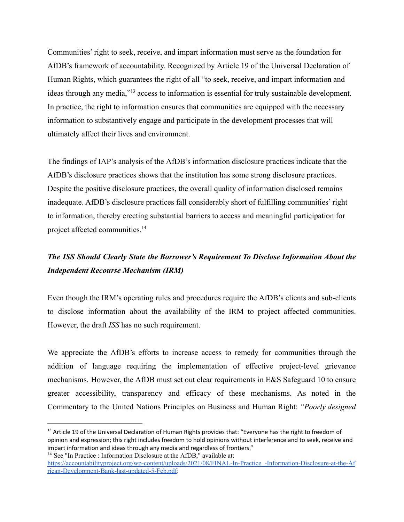Communities' right to seek, receive, and impart information must serve as the foundation for AfDB's framework of accountability. Recognized by [Article 19](https://www.un.org/en/universal-declaration-human-rights/) of the Universal Declaration of Human Rights, which guarantees the right of all "to seek, receive, and impart information and ideas through any media,"<sup>13</sup> access to information is essential for truly sustainable development. In practice, the right to information ensures that communities are equipped with the necessary information to substantively engage and participate in the development processes that will ultimately affect their lives and environment.

The findings of IAP's analysis of the AfDB's information disclosure practices indicate that the AfDB's disclosure practices shows that the institution has some strong disclosure practices. Despite the positive disclosure practices, the overall quality of information disclosed remains inadequate. AfDB's disclosure practices fall considerably short of fulfilling communities' right to information, thereby erecting substantial barriers to access and meaningful participation for project affected communities.<sup>14</sup>

### *The ISS Should Clearly State the Borrower's Requirement To Disclose Information About the Independent Recourse Mechanism (IRM)*

Even though the IRM's operating rules and procedures require the AfDB's clients and sub-clients to disclose information about the availability of the IRM to project affected communities. However, the draft *ISS* has no such requirement.

We appreciate the AfDB's efforts to increase access to remedy for communities through the addition of language requiring the implementation of effective project-level grievance mechanisms. However, the AfDB must set out clear requirements in E&S Safeguard 10 to ensure greater accessibility, transparency and efficacy of these mechanisms. As noted in the Commentary to the United Nations Principles on Business and Human Right: *"Poorly designed*

<sup>14</sup> See "In Practice : Information Disclosure at the AfDB," available at: <sup>13</sup> Article 19 of the Universal Declaration of Human Rights provides that: "Everyone has the right to freedom of opinion and expression; this right includes freedom to hold opinions without interference and to seek, receive and impart information and ideas through any media and regardless of frontiers."

https://accountabilityproject.org/wp-content/uploads/2021/08/FINAL-In-Practice -Information-Disclosure-at-the-Af [rican-Development-Bank-last-updated-5-Feb.pdf](https://accountabilityproject.org/wp-content/uploads/2021/08/FINAL-In-Practice_-Information-Disclosure-at-the-African-Development-Bank-last-updated-5-Feb.pdf);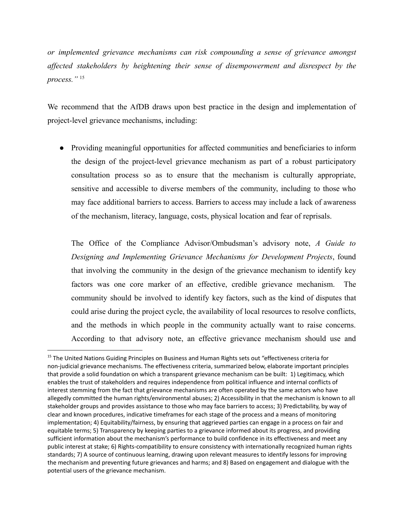*or implemented grievance mechanisms can risk compounding a sense of grievance amongst affected stakeholders by heightening their sense of disempowerment and disrespect by the process."* <sup>15</sup>

We recommend that the AfDB draws upon best practice in the design and implementation of project-level grievance mechanisms, including:

● Providing meaningful opportunities for affected communities and beneficiaries to inform the design of the project-level grievance mechanism as part of a robust participatory consultation process so as to ensure that the mechanism is culturally appropriate, sensitive and accessible to diverse members of the community, including to those who may face additional barriers to access. Barriers to access may include a lack of awareness of the mechanism, literacy, language, costs, physical location and fear of reprisals.

The Office of the Compliance Advisor/Ombudsman's advisory note, *A Guide to Designing and Implementing Grievance Mechanisms for Development Projects*, found that involving the community in the design of the grievance mechanism to identify key factors was one core marker of an effective, credible grievance mechanism. The community should be involved to identify key factors, such as the kind of disputes that could arise during the project cycle, the availability of local resources to resolve conflicts, and the methods in which people in the community actually want to raise concerns. According to that advisory note, an effective grievance mechanism should use and

<sup>&</sup>lt;sup>15</sup> The United Nations Guiding Principles on Business and Human Rights sets out "effectiveness criteria for non-judicial grievance mechanisms. The effectiveness criteria, summarized below, elaborate important principles that provide a solid foundation on which a transparent grievance mechanism can be built: 1) Legitimacy, which enables the trust of stakeholders and requires independence from political influence and internal conflicts of interest stemming from the fact that grievance mechanisms are often operated by the same actors who have allegedly committed the human rights/environmental abuses; 2) Accessibility in that the mechanism is known to all stakeholder groups and provides assistance to those who may face barriers to access; 3) Predictability, by way of clear and known procedures, indicative timeframes for each stage of the process and a means of monitoring implementation; 4) Equitability/fairness, by ensuring that aggrieved parties can engage in a process on fair and equitable terms; 5) Transparency by keeping parties to a grievance informed about its progress, and providing sufficient information about the mechanism's performance to build confidence in its effectiveness and meet any public interest at stake; 6) Rights-compatibility to ensure consistency with internationally recognized human rights standards; 7) A source of continuous learning, drawing upon relevant measures to identify lessons for improving the mechanism and preventing future grievances and harms; and 8) Based on engagement and dialogue with the potential users of the grievance mechanism.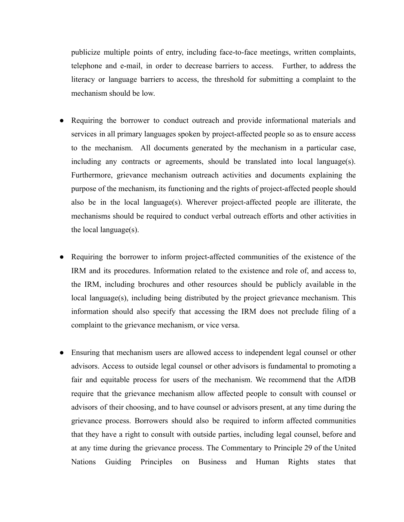publicize multiple points of entry, including face-to-face meetings, written complaints, telephone and e-mail, in order to decrease barriers to access. Further, to address the literacy or language barriers to access, the threshold for submitting a complaint to the mechanism should be low.

- Requiring the borrower to conduct outreach and provide informational materials and services in all primary languages spoken by project-affected people so as to ensure access to the mechanism. All documents generated by the mechanism in a particular case, including any contracts or agreements, should be translated into local language(s). Furthermore, grievance mechanism outreach activities and documents explaining the purpose of the mechanism, its functioning and the rights of project-affected people should also be in the local language(s). Wherever project-affected people are illiterate, the mechanisms should be required to conduct verbal outreach efforts and other activities in the local language(s).
- Requiring the borrower to inform project-affected communities of the existence of the IRM and its procedures. Information related to the existence and role of, and access to, the IRM, including brochures and other resources should be publicly available in the local language(s), including being distributed by the project grievance mechanism. This information should also specify that accessing the IRM does not preclude filing of a complaint to the grievance mechanism, or vice versa.
- Ensuring that mechanism users are allowed access to independent legal counsel or other advisors. Access to outside legal counsel or other advisors is fundamental to promoting a fair and equitable process for users of the mechanism. We recommend that the AfDB require that the grievance mechanism allow affected people to consult with counsel or advisors of their choosing, and to have counsel or advisors present, at any time during the grievance process. Borrowers should also be required to inform affected communities that they have a right to consult with outside parties, including legal counsel, before and at any time during the grievance process. The Commentary to Principle 29 of the United Nations Guiding Principles on Business and Human Rights states that